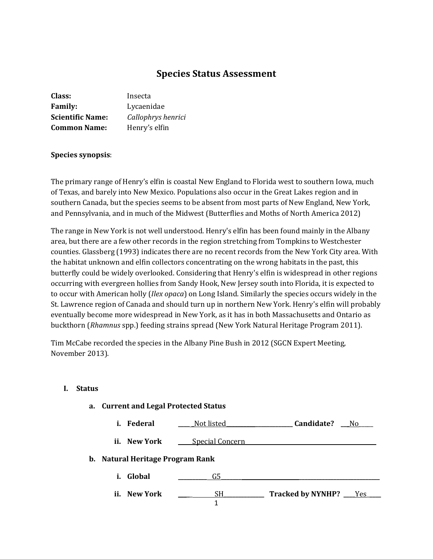# **Species Status Assessment**

| Class:                  | Insecta            |
|-------------------------|--------------------|
| <b>Family:</b>          | Lycaenidae         |
| <b>Scientific Name:</b> | Callophrys henrici |
| <b>Common Name:</b>     | Henry's elfin      |

## **Species synopsis**:

The primary range of Henry's elfin is coastal New England to Florida west to southern Iowa, much of Texas, and barely into New Mexico. Populations also occur in the Great Lakes region and in southern Canada, but the species seems to be absent from most parts of New England, New York, and Pennsylvania, and in much of the Midwest (Butterflies and Moths of North America 2012)

The range in New York is not well understood. Henry's elfin has been found mainly in the Albany area, but there are a few other records in the region stretching from Tompkins to Westchester counties. Glassberg (1993) indicates there are no recent records from the New York City area. With the habitat unknown and elfin collectors concentrating on the wrong habitats in the past, this butterfly could be widely overlooked. Considering that Henry's elfin is widespread in other regions occurring with evergreen hollies from Sandy Hook, New Jersey south into Florida, it is expected to to occur with American holly (*Ilex opaca*) on Long Island. Similarly the species occurs widely in the St. Lawrence region of Canada and should turn up in northern New York. Henry's elfin will probably eventually become more widespread in New York, as it has in both Massachusetts and Ontario as buckthorn (*Rhamnus* spp.) feeding strains spread (New York Natural Heritage Program 2011).

Tim McCabe recorded the species in the Albany Pine Bush in 2012 (SGCN Expert Meeting, November 2013).

#### **I. Status**

**a. Current and Legal Protected Status**

|  | i. Federal | Not listed | Candidate? |  |
|--|------------|------------|------------|--|
|--|------------|------------|------------|--|

**ii. New York \_\_\_\_\_**Special Concern **\_\_\_\_\_\_** 

#### **b. Natural Heritage Program Rank**

- **i. Global \_\_\_\_\_\_\_\_\_\_** G5**\_\_\_\_\_\_\_ \_\_\_\_\_\_\_\_\_\_\_\_\_\_\_\_\_\_\_\_\_\_\_\_\_\_\_\_**
- **ii. New York \_\_\_\_**\_ SH**\_\_\_\_\_\_\_\_\_\_\_\_\_\_ Tracked by NYNHP? \_\_\_\_**Yes\_**\_\_\_\_**

1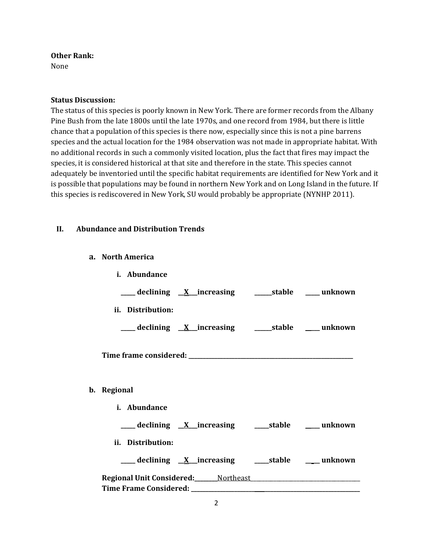### **Other Rank:**

None

## **Status Discussion:**

The status of this species is poorly known in New York. There are former records from the Albany Pine Bush from the late 1800s until the late 1970s, and one record from 1984, but there is little chance that a population of this species is there now, especially since this is not a pine barrens species and the actual location for the 1984 observation was not made in appropriate habitat. With no additional records in such a commonly visited location, plus the fact that fires may impact the species, it is considered historical at that site and therefore in the state. This species cannot adequately be inventoried until the specific habitat requirements are identified for New York and it is possible that populations may be found in northern New York and on Long Island in the future. If this species is rediscovered in New York, SU would probably be appropriate (NYNHP 2011).

## **II. Abundance and Distribution Trends**

**a. North America**

 $\mathbf{h}$ .

| i. Abundance                                                                                                   |  |  |
|----------------------------------------------------------------------------------------------------------------|--|--|
| ___ declining <u>X</u> increasing ______stable _____ unknown                                                   |  |  |
| ii. Distribution:                                                                                              |  |  |
| ___ declining <u>X</u> increasing ______stable ____ unknown                                                    |  |  |
|                                                                                                                |  |  |
| Regional                                                                                                       |  |  |
| i. Abundance                                                                                                   |  |  |
| ___ declining <u>X</u> increasing ___ stable ___ unknown                                                       |  |  |
| ii. Distribution:                                                                                              |  |  |
| ___ declining <u>X</u> increasing ___ stable ___ unknown                                                       |  |  |
| Regional Unit Considered: Mortheast Manual Museum Museum Museum Museum Museum Museum Museum Museum Museum Muse |  |  |
|                                                                                                                |  |  |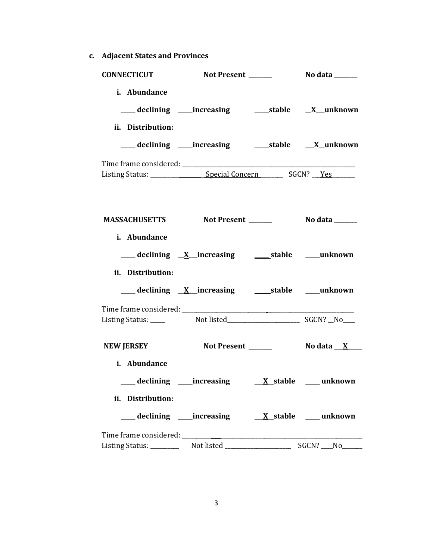**c. Adjacent States and Provinces**

| <b>CONNECTICUT</b>                |                                                                   |
|-----------------------------------|-------------------------------------------------------------------|
| i. Abundance<br>ii. Distribution: | ___ declining ____increasing _______stable ___ <u>X</u> __unknown |
|                                   | ___ declining ____increasing ______stable ___ X_unknown           |
|                                   |                                                                   |
|                                   | MASSACHUSETTS Not Present ________ No data ______                 |
| i. Abundance                      |                                                                   |
| ii. Distribution:                 | ___ declining X_increasing ______stable ____unknown               |
|                                   |                                                                   |
|                                   |                                                                   |
| <b>NEW JERSEY</b>                 |                                                                   |
| i. Abundance                      | declining ____increasing ___ <u>__X__</u> stable _____ unknown    |
| ii. Distribution:                 | declining ____increasing ____ <u>X_stable ___</u> _unknown        |
|                                   |                                                                   |
|                                   | SGCN?<br>No                                                       |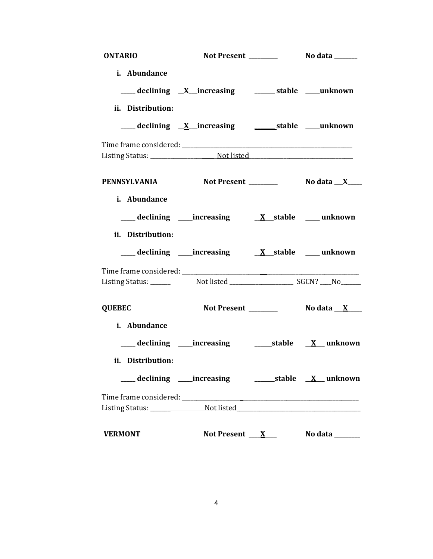| <b>ONTARIO</b>    | Not Present ________                                                  | No data _______                 |
|-------------------|-----------------------------------------------------------------------|---------------------------------|
| i. Abundance      |                                                                       |                                 |
|                   | ___ declining <u>X</u> increasing ____ stable ___ unknown             |                                 |
| ii. Distribution: |                                                                       |                                 |
|                   |                                                                       |                                 |
|                   |                                                                       |                                 |
|                   |                                                                       |                                 |
|                   | PENNSYLVANIA Not Present _________ No data __ X___                    |                                 |
| i. Abundance      |                                                                       |                                 |
|                   |                                                                       |                                 |
| ii. Distribution: |                                                                       |                                 |
|                   |                                                                       |                                 |
|                   |                                                                       |                                 |
|                   |                                                                       |                                 |
| <b>QUEBEC</b>     | Not Present ________                                                  | No data _ <u>_X</u> ___         |
| i. Abundance      |                                                                       |                                 |
|                   |                                                                       |                                 |
| ii. Distribution: |                                                                       |                                 |
|                   | ___ declining ___increasing ___________stable __ <u>X</u> ___ unknown |                                 |
|                   |                                                                       |                                 |
|                   |                                                                       |                                 |
| <b>VERMONT</b>    |                                                                       | Not Present $X$ No data _______ |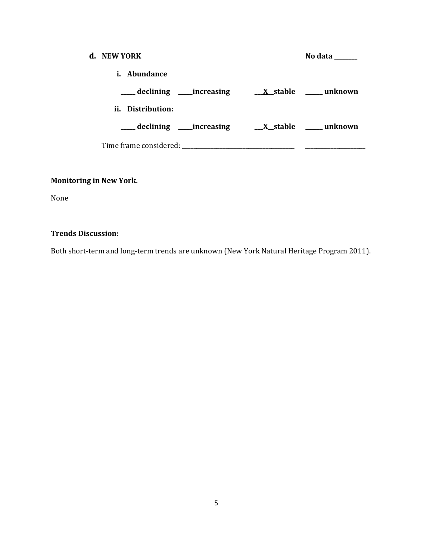| d. NEW YORK                   | No data          |
|-------------------------------|------------------|
| <i>i.</i> Abundance           |                  |
| ___ declining ____ increasing | X stable unknown |
| ii. Distribution:             |                  |
| __ declining _____increasing  | X stable unknown |
| Time frame considered:        |                  |

# **Monitoring in New York.**

None

# **Trends Discussion:**

Both short-term and long-term trends are unknown (New York Natural Heritage Program 2011).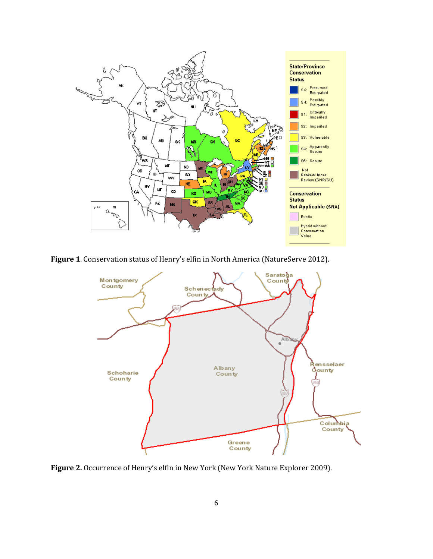

**Figure 1**. Conservation status of Henry's elfin in North America (NatureServe 2012).



**Figure 2.** Occurrence of Henry's elfin in New York (New York Nature Explorer 2009).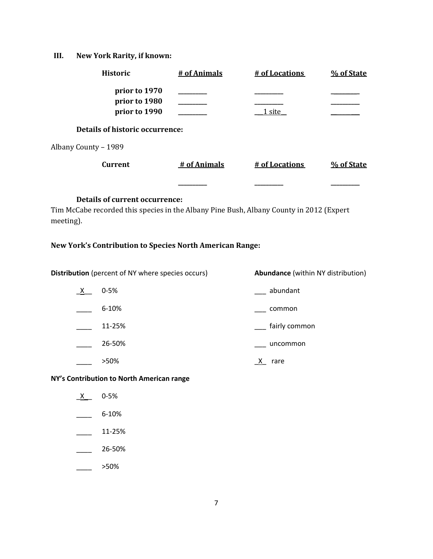### **III. New York Rarity, if known:**

| <b>Historic</b>                                 | # of Animals | # of Locations | % of State |
|-------------------------------------------------|--------------|----------------|------------|
| prior to 1970<br>prior to 1980<br>prior to 1990 |              | 1 site         |            |
| <b>Details of historic occurrence:</b>          |              |                |            |
| Albany County - 1989                            |              |                |            |
| Current                                         | # of Animals | # of Locations | % of State |
|                                                 |              |                |            |

## **Details of current occurrence:**

Tim McCabe recorded this species in the Albany Pine Bush, Albany County in 2012 (Expert meeting).

### **New York's Contribution to Species North American Range:**

**Distribution** (percent of NY where species occurs) **Abundance** (within NY distribution)

\_X\_\_ 0-5% \_\_\_ abundant \_\_\_\_ 6-10% \_\_\_ common \_\_\_\_ 11-25% \_\_\_ fairly common \_\_\_\_ 26-50% \_\_\_ uncommon  $\frac{X}{X}$  rare

### **NY's Contribution to North American range**

- \_X\_\_ 0-5%
- $\frac{6-10\%}{2}$
- \_\_\_\_ 11-25%
- \_\_\_\_ 26-50%

 $\frac{1}{2}$  > > 50%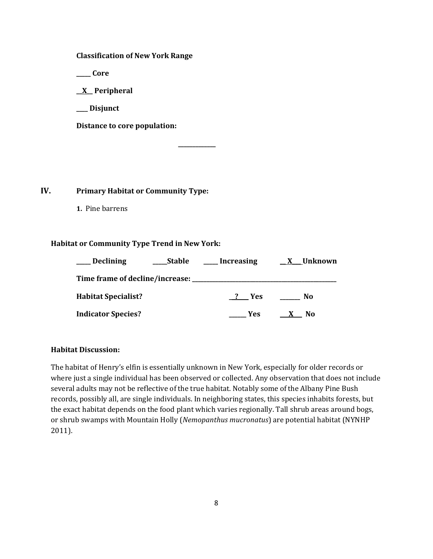**Classification of New York Range**

**\_\_\_\_\_ Core**

**\_\_X\_\_ Peripheral**

**\_\_\_\_ Disjunct**

**Distance to core population:**

**IV. Primary Habitat or Community Type:** 

**1.** Pine barrens

#### **Habitat or Community Type Trend in New York:**

| <b>Declining</b>           | <b>Stable</b> | Increasing |            | X. | Unknown |
|----------------------------|---------------|------------|------------|----|---------|
|                            |               |            |            |    |         |
| <b>Habitat Specialist?</b> |               |            | 2 Yes      |    | No.     |
| <b>Indicator Species?</b>  |               |            | <b>Yes</b> |    | No.     |

**\_\_\_\_\_\_\_\_\_\_\_\_\_**

#### **Habitat Discussion:**

The habitat of Henry's elfin is essentially unknown in New York, especially for older records or where just a single individual has been observed or collected. Any observation that does not include several adults may not be reflective of the true habitat. Notably some of the Albany Pine Bush records, possibly all, are single individuals. In neighboring states, this species inhabits forests, but the exact habitat depends on the food plant which varies regionally. Tall shrub areas around bogs, or shrub swamps with Mountain Holly (*Nemopanthus mucronatus*) are potential habitat (NYNHP 2011).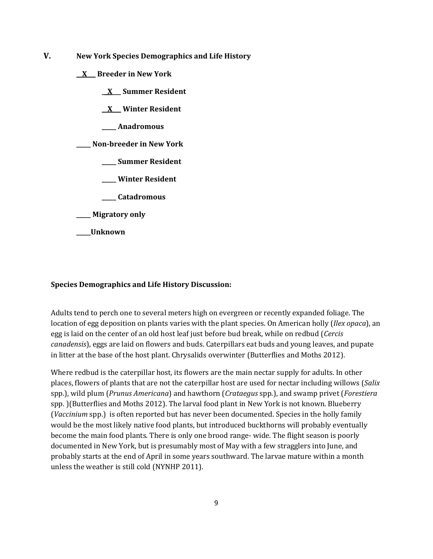- **V. New York Species Demographics and Life History**
	- **\_\_X\_\_\_ Breeder in New York**
		- **\_\_X\_\_\_ Summer Resident**

**\_\_X\_\_\_ Winter Resident**

**\_\_\_\_\_ Anadromous**

**\_\_\_\_\_ Non-breeder in New York**

- **\_\_\_\_\_ Summer Resident**
- **\_\_\_\_\_ Winter Resident**
- **\_\_\_\_\_ Catadromous**
- **\_\_\_\_\_ Migratory only**

**\_\_\_\_\_Unknown**

#### **Species Demographics and Life History Discussion:**

Adults tend to perch one to several meters high on evergreen or recently expanded foliage. The location of egg deposition on plants varies with the plant species. On American holly (*Ilex opaca*), an egg is laid on the center of an old host leaf just before bud break, while on redbud (*Cercis canadensis*), eggs are laid on flowers and buds. Caterpillars eat buds and young leaves, and pupate in litter at the base of the host plant. Chrysalids overwinter (Butterflies and Moths 2012).

Where redbud is the caterpillar host, its flowers are the main nectar supply for adults. In other places, flowers of plants that are not the caterpillar host are used for nectar including willows (*Salix* spp.), wild plum (*Prunus Americana*) and hawthorn (*Crataegus* spp.), and swamp privet (*Forestiera* spp. )(Butterflies and Moths 2012). The larval food plant in New York is not known. Blueberry (*Vaccinium* spp.) is often reported but has never been documented. Species in the holly family would be the most likely native food plants, but introduced buckthorns will probably eventually become the main food plants. There is only one brood range- wide. The flight season is poorly documented in New York, but is presumably most of May with a few stragglers into June, and probably starts at the end of April in some years southward. The larvae mature within a month unless the weather is still cold (NYNHP 2011).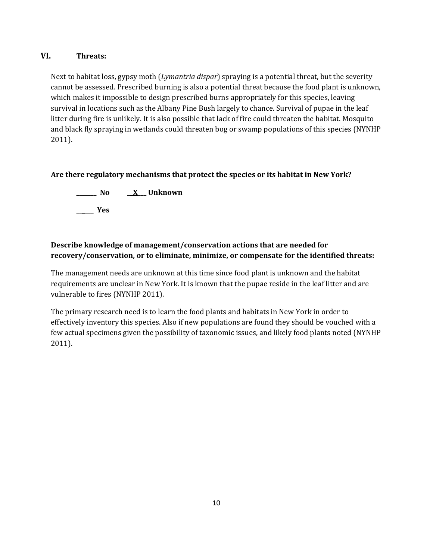## **VI. Threats:**

Next to habitat loss, gypsy moth (*Lymantria dispar*) spraying is a potential threat, but the severity cannot be assessed. Prescribed burning is also a potential threat because the food plant is unknown, which makes it impossible to design prescribed burns appropriately for this species, leaving survival in locations such as the Albany Pine Bush largely to chance. Survival of pupae in the leaf litter during fire is unlikely. It is also possible that lack of fire could threaten the habitat. Mosquito and black fly spraying in wetlands could threaten bog or swamp populations of this species (NYNHP 2011).

# **Are there regulatory mechanisms that protect the species or its habitat in New York?**

**\_\_\_\_\_\_\_ No \_\_X\_\_\_ Unknown \_\_\_\_\_\_ Yes** 

# **Describe knowledge of management/conservation actions that are needed for recovery/conservation, or to eliminate, minimize, or compensate for the identified threats:**

The management needs are unknown at this time since food plant is unknown and the habitat requirements are unclear in New York. It is known that the pupae reside in the leaf litter and are vulnerable to fires (NYNHP 2011).

The primary research need is to learn the food plants and habitats in New York in order to effectively inventory this species. Also if new populations are found they should be vouched with a few actual specimens given the possibility of taxonomic issues, and likely food plants noted (NYNHP 2011).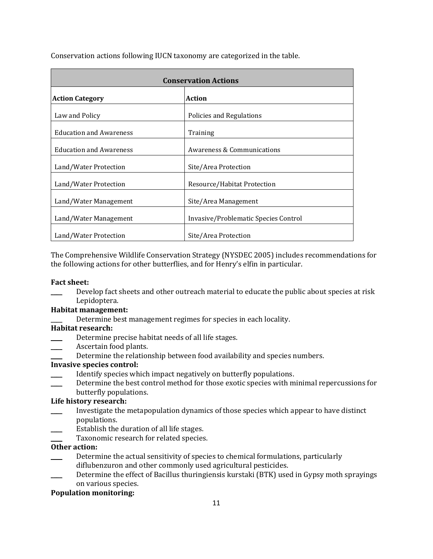Conservation actions following IUCN taxonomy are categorized in the table.

| <b>Conservation Actions</b>    |                                      |  |
|--------------------------------|--------------------------------------|--|
| <b>Action Category</b>         | <b>Action</b>                        |  |
| Law and Policy                 | Policies and Regulations             |  |
| <b>Education and Awareness</b> | Training                             |  |
| <b>Education and Awareness</b> | Awareness & Communications           |  |
| Land/Water Protection          | Site/Area Protection                 |  |
| Land/Water Protection          | Resource/Habitat Protection          |  |
| Land/Water Management          | Site/Area Management                 |  |
| Land/Water Management          | Invasive/Problematic Species Control |  |
| Land/Water Protection          | Site/Area Protection                 |  |

The Comprehensive Wildlife Conservation Strategy (NYSDEC 2005) includes recommendations for the following actions for other butterflies, and for Henry's elfin in particular.

### **Fact sheet:**

Develop fact sheets and other outreach material to educate the public about species at risk Lepidoptera.

## **Habitat management:**

Determine best management regimes for species in each locality.

## **Habitat research:**

- Determine precise habitat needs of all life stages.
- Ascertain food plants.
- Determine the relationship between food availability and species numbers.

## **Invasive species control:**

- Identify species which impact negatively on butterfly populations.
- Determine the best control method for those exotic species with minimal repercussions for butterfly populations.

### **Life history research:**

- \_\_\_\_ Investigate the metapopulation dynamics of those species which appear to have distinct populations.
- Establish the duration of all life stages.
- Taxonomic research for related species.

## **Other action:**

- Determine the actual sensitivity of species to chemical formulations, particularly diflubenzuron and other commonly used agricultural pesticides.
	- Determine the effect of Bacillus thuringiensis kurstaki (BTK) used in Gypsy moth sprayings on various species.

## **Population monitoring:**